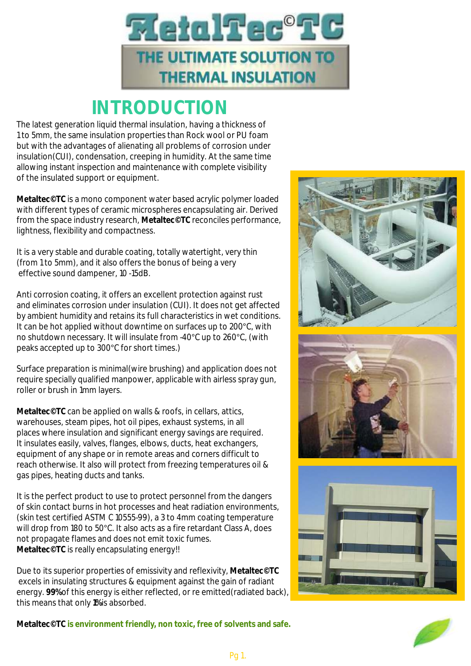

### **INTRODUCTION**

The latest generation liquid thermal insulation, having a thickness of 1 to 5mm, the same insulation properties than Rock wool or PU foam but with the advantages of alienating all problems of corrosion under insulation(CUI), condensation, creeping in humidity. At the same time allowing instant inspection and maintenance with complete visibility of the insulated support or equipment.

**Metaltec©TC** is a mono component water based acrylic polymer loaded with different types of ceramic microspheres encapsulating air. Derived from the space industry research, **Metaltec©TC** reconciles performance, lightness, flexibility and compactness.

It is a very stable and durable coating, totally watertight, very thin (from 1 to 5mm), and it also offers the bonus of being a very effective sound dampener, 10 -15dB.

Anti corrosion coating, it offers an excellent protection against rust and eliminates corrosion under insulation (CUI). It does not get affected by ambient humidity and retains its full characteristics in wet conditions. It can be hot applied without downtime on surfaces up to 200°C, with no shutdown necessary. It will insulate from -40°C up to 260°C, (with peaks accepted up to 300°C for short times.)

Surface preparation is minimal(wire brushing) and application does not require specially qualified manpower, applicable with airless spray gun, roller or brush in 1mm layers.

**Metaltec©TC** can be applied on walls & roofs, in cellars, attics, warehouses, steam pipes, hot oil pipes, exhaust systems, in all places where insulation and significant energy savings are required. It insulates easily, valves, flanges, elbows, ducts, heat exchangers, equipment of any shape or in remote areas and corners difficult to reach otherwise. It also will protect from freezing temperatures oil & gas pipes, heating ducts and tanks.

It is the perfect product to use to protect personnel from the dangers of skin contact burns in hot processes and heat radiation environments, (skin test certified ASTM C 10555-99), a 3 to 4mm coating temperature will drop from 180 to 50°C. It also acts as a fire retardant Class A, does not propagate flames and does not emit toxic fumes. **Metaltec©TC** is really encapsulating energy!!

Due to its superior properties of emissivity and reflexivity, **Metaltec©TC** excels in insulating structures & equipment against the gain of radiant energy. **99%** of this energy is either reflected, or re emitted(radiated back), this means that only **1%** is absorbed.







**Metaltec©TC is environment friendly, non toxic, free of solvents and safe.**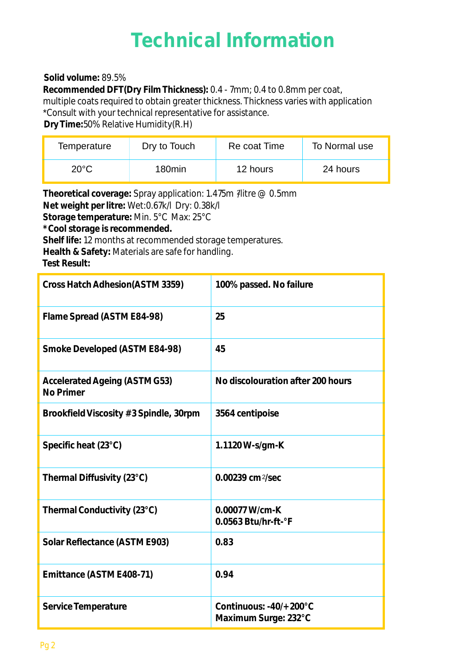# **Technical Information**

**Solid volume:** 89.5%

**Recommended DFT(Dry Film Thickness):** 0.4 - 7mm; 0.4 to 0.8mm per coat, multiple coats required to obtain greater thickness. Thickness varies with application \*Consult with your technical representative for assistance.

**Dry Time:**50% Relative Humidity(R.H)

| Temperature    | Dry to Touch       | Re coat Time | To Normal use |
|----------------|--------------------|--------------|---------------|
| $20^{\circ}$ C | 180 <sub>min</sub> | 12 hours     | 24 hours      |

Theoretical coverage: Spray application: 1.475m *f*litre @ 0.5mm  **Net weight per litre:** Wet:0.67k/l Dry: 0.38k/l

**Storage temperature:** Min. 5°C Max: 25°C

 **\*Cool storage is recommended.**

**Shelf life:** 12 months at recommended storage temperatures.

 **Health & Safety:** Materials are safe for handling.

**Test Result:**

| Cross Hatch Adhesion (ASTM 3359)           | 100% passed. No failure                         |  |
|--------------------------------------------|-------------------------------------------------|--|
| Flame Spread (ASTM E84-98)                 | 25                                              |  |
| Smoke Developed (ASTM E84-98)              | 45                                              |  |
| Accelerated Ageing (ASTM G53)<br>No Primer | No discolouration after 200 hours               |  |
| Brookfield Viscosity #3 Spindle, 30rpm     | 3564 centipoise                                 |  |
| Specific heat (23°C)                       | 1.1120 W-s/gm-K                                 |  |
| Thermal Diffusivity (23°C)                 | 0.00239 cm2/sec                                 |  |
| Thermal Conductivity (23°C)                | 0.00077 W/cm-K<br>0.0563 Btu/hr-ft-°F           |  |
| Solar Reflectance (ASTM E903)              | 0.83                                            |  |
| Emittance (ASTM E408-71)                   | 0.94                                            |  |
| Service Temperature                        | Continuous: -40/+ 200°C<br>Maximum Surge: 232°C |  |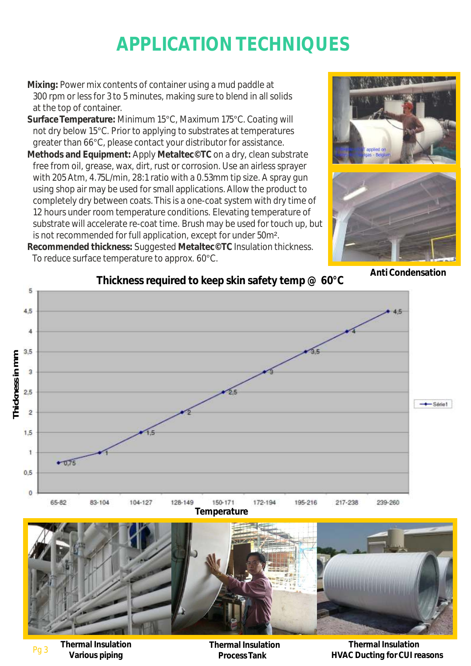# **APPLICATION TECHNIQUES**

**Mixing:** Power mix contents of container using a mud paddle at 300 rpm or less for 3 to 5 minutes, making sure to blend in all solids at the top of container.

**Surface Temperature:** Minimum 15°C, Maximum 175°C. Coating will not dry below 15°C. Prior to applying to substrates at temperatures greater than 66°C, please contact your distributor for assistance.

**Methods and Equipment:** Apply **Metaltec©TC** on a dry, clean substrate free from oil, grease, wax, dirt, rust or corrosion. Use an airless sprayer with 205 Atm, 4.75L/min, 28:1 ratio with a 0.53mm tip size. A spray gun using shop air may be used for small applications. Allow the product to completely dry between coats. This is a one-coat system with dry time of 12 hours under room temperature conditions. Elevating temperature of substrate will accelerate re-coat time. Brush may be used for touch up, but is not recommended for full application, except for under 50m².

**Recommended thickness:** Suggested **Metaltec©TC** Insulation thickness. To reduce surface temperature to approx. 60°C.



**Anti Condensation**



**Thickness required to keep skin safety temp @ 60°C**



Pg 3 **Thermal Insulation Various piping**

**Thermal Insulation Process Tank**

 **Thermal Insulation HVAC Ducting for CUI reasons**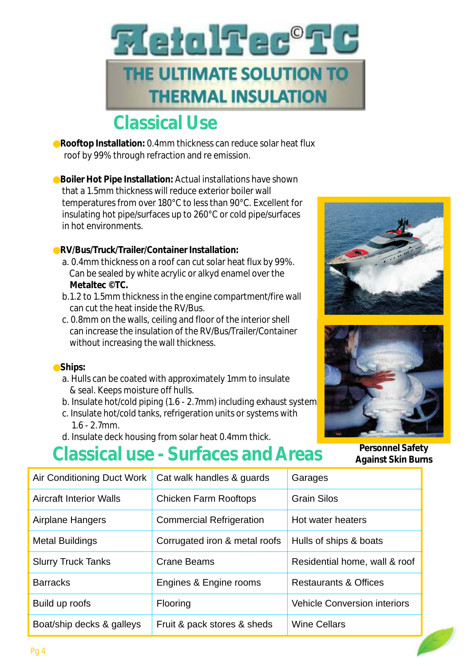

## **Classical Use**

**Rooftop Installation:** 0.4mm thickness can reduce solar heat flux roof by 99% through refraction and re emission.

**Boiler Hot Pipe Installation:** Actual installations have shown that a 1.5mm thickness will reduce exterior boiler wall temperatures from over 180°C to less than 90°C. Excellent for insulating hot pipe/surfaces up to 260°C or cold pipe/surfaces in hot environments.

**RV/Bus/Truck/Trailer/Container Installation:** 

- a. 0.4mm thickness on a roof can cut solar heat flux by 99%. Can be sealed by white acrylic or alkyd enamel over the **Metaltec ©TC.**
- b.1.2 to 1.5mm thickness in the engine compartment/fire wall can cut the heat inside the RV/Bus.
- c. 0.8mm on the walls, ceiling and floor of the interior shell can increase the insulation of the RV/Bus/Trailer/Container without increasing the wall thickness.

#### **Ships:**

- a. Hulls can be coated with approximately 1mm to insulate & seal. Keeps moisture off hulls.
- b. Insulate hot/cold piping  $(1.6 2.7$ mm) including exhaust system
- c. Insulate hot/cold tanks, refrigeration units or systems with 1.6 - 2.7mm.
- d. Insulate deck housing from solar heat 0.4mm thick.

## **Classical use - Surfaces and Areas**





 **Personnel Safety Against Skin Burns**

| Air Conditioning Duct Work     | Cat walk handles & guards       | Garages                             |
|--------------------------------|---------------------------------|-------------------------------------|
| <b>Aircraft Interior Walls</b> | <b>Chicken Farm Rooftops</b>    | <b>Grain Silos</b>                  |
| Airplane Hangers               | <b>Commercial Refrigeration</b> | Hot water heaters                   |
| <b>Metal Buildings</b>         | Corrugated iron & metal roofs   | Hulls of ships & boats              |
| <b>Slurry Truck Tanks</b>      | <b>Crane Beams</b>              | Residential home, wall & roof       |
| <b>Barracks</b>                | Engines & Engine rooms          | <b>Restaurants &amp; Offices</b>    |
| Build up roofs                 | Flooring                        | <b>Vehicle Conversion interiors</b> |
| Boat/ship decks & galleys      | Fruit & pack stores & sheds     | <b>Wine Cellars</b>                 |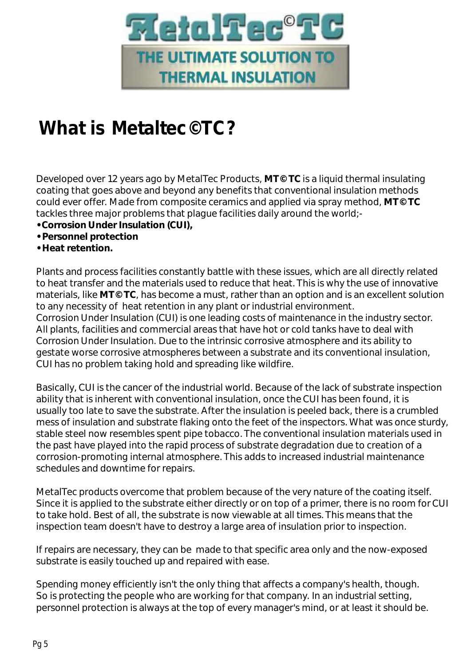

## **What is Metaltec©TC?**

Developed over 12 years ago by MetalTec Products, **MT©TC** is a liquid thermal insulating coating that goes above and beyond any benefits that conventional insulation methods could ever offer. Made from composite ceramics and applied via spray method, **MT©TC** tackles three major problems that plague facilities daily around the world;-

- **• Corrosion Under Insulation (CUI),**
- **• Personnel protection**
- **• Heat retention.**

Plants and process facilities constantly battle with these issues, which are all directly related to heat transfer and the materials used to reduce that heat. This is why the use of innovative materials, like **MT©TC**, has become a must, rather than an option and is an excellent solution to any necessity of heat retention in any plant or industrial environment. Corrosion Under Insulation (CUI) is one leading costs of maintenance in the industry sector. All plants, facilities and commercial areas that have hot or cold tanks have to deal with Corrosion Under Insulation. Due to the intrinsic corrosive atmosphere and its ability to gestate worse corrosive atmospheres between a substrate and its conventional insulation, CUI has no problem taking hold and spreading like wildfire.

Basically, CUI is the cancer of the industrial world. Because of the lack of substrate inspection ability that is inherent with conventional insulation, once the CUI has been found, it is usually too late to save the substrate. After the insulation is peeled back, there is a crumbled mess of insulation and substrate flaking onto the feet of the inspectors. What was once sturdy, stable steel now resembles spent pipe tobacco. The conventional insulation materials used in the past have played into the rapid process of substrate degradation due to creation of a corrosion-promoting internal atmosphere. This adds to increased industrial maintenance schedules and downtime for repairs.

MetalTec products overcome that problem because of the very nature of the coating itself. Since it is applied to the substrate either directly or on top of a primer, there is no room for CUI to take hold. Best of all, the substrate is now viewable at all times. This means that the inspection team doesn't have to destroy a large area of insulation prior to inspection.

If repairs are necessary, they can be made to that specific area only and the now-exposed substrate is easily touched up and repaired with ease.

Spending money efficiently isn't the only thing that affects a company's health, though. So is protecting the people who are working for that company. In an industrial setting, personnel protection is always at the top of every manager's mind, or at least it should be.